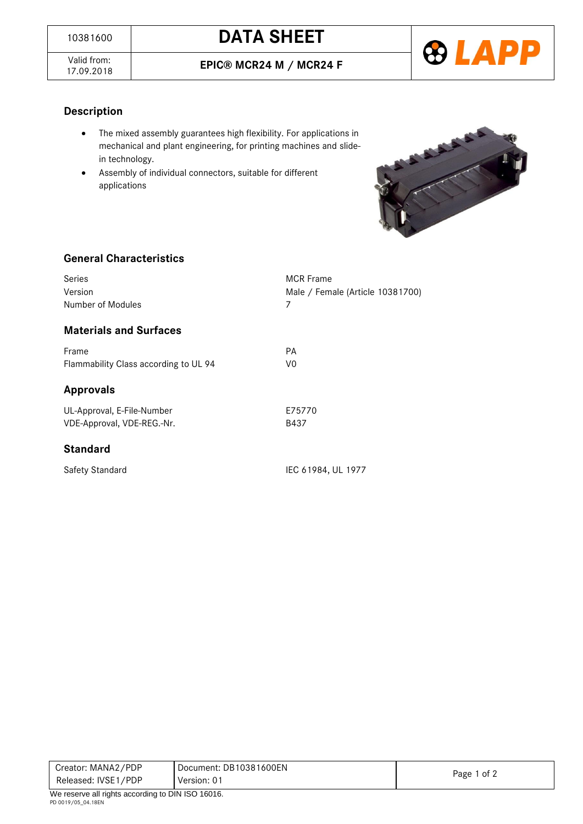## <sup>10381600</sup> **DATA SHEET**

Valid from:<br>17.09.2018

17.09.2018 **EPIC® MCR24 M / MCR24 F**



### **Description**

- The mixed assembly guarantees high flexibility. For applications in mechanical and plant engineering, for printing machines and slidein technology.
- Assembly of individual connectors, suitable for different applications



### **General Characteristics**

| Series<br>Version<br>Number of Modules                   | <b>MCR</b> Frame<br>Male / Female (Article 10381700)<br>7 |
|----------------------------------------------------------|-----------------------------------------------------------|
| <b>Materials and Surfaces</b>                            |                                                           |
| Frame<br>Flammability Class according to UL 94           | PA<br>V0                                                  |
| <b>Approvals</b>                                         |                                                           |
| UL-Approval, E-File-Number<br>VDE-Approval, VDE-REG.-Nr. | E75770<br>B437                                            |
| <b>Standard</b>                                          |                                                           |
| <b>Safety Standard</b>                                   | IEC 61984, UL 1977                                        |

| Creator: MANA2/PDP                                         | Document: DB10381600EN | Page 1 of 2 |  |
|------------------------------------------------------------|------------------------|-------------|--|
| Released: IVSE1/PDP                                        | Version: 01            |             |  |
| $M_{\odot}$ reseming all rights according to DIN ICO 40040 |                        |             |  |